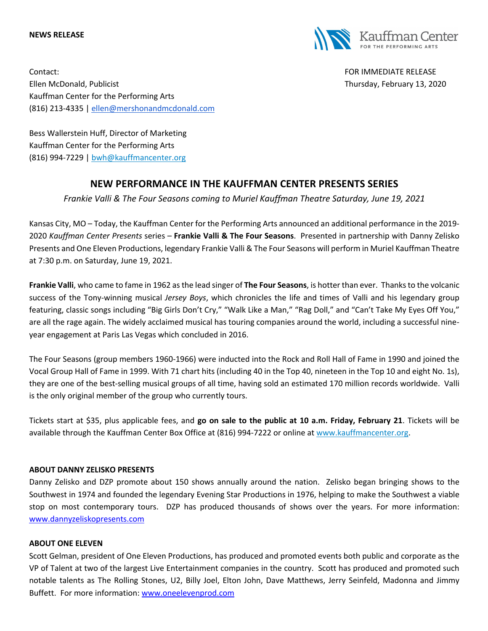#### **NEWS RELEASE**



Contact: FOR IMMEDIATE RELEASE Ellen McDonald, Publicist Thursday, February 13, 2020 Kauffman Center for the Performing Arts (816) 213-4335 | ellen@mershonandmcdonald.com

Bess Wallerstein Huff, Director of Marketing Kauffman Center for the Performing Arts (816) 994-7229 | bwh@kauffmancenter.org

# **NEW PERFORMANCE IN THE KAUFFMAN CENTER PRESENTS SERIES**

*Frankie Valli & The Four Seasons coming to Muriel Kauffman Theatre Saturday, June 19, 2021*

Kansas City, MO – Today, the Kauffman Center for the Performing Arts announced an additional performance in the 2019- 2020 *Kauffman Center Presents* series – **Frankie Valli & The Four Seasons**. Presented in partnership with Danny Zelisko Presents and One Eleven Productions, legendary Frankie Valli & The Four Seasons will perform in Muriel Kauffman Theatre at 7:30 p.m. on Saturday, June 19, 2021.

**Frankie Valli**, who came to fame in 1962 as the lead singer of **The Four Seasons**, is hotter than ever. Thanks to the volcanic success of the Tony-winning musical *Jersey Boys*, which chronicles the life and times of Valli and his legendary group featuring, classic songs including "Big Girls Don't Cry," "Walk Like a Man," "Rag Doll," and "Can't Take My Eyes Off You," are all the rage again. The widely acclaimed musical has touring companies around the world, including a successful nineyear engagement at Paris Las Vegas which concluded in 2016.

The Four Seasons (group members 1960-1966) were inducted into the Rock and Roll Hall of Fame in 1990 and joined the Vocal Group Hall of Fame in 1999. With 71 chart hits (including 40 in the Top 40, nineteen in the Top 10 and eight No. 1s), they are one of the best-selling musical groups of all time, having sold an estimated 170 million records worldwide. Valli is the only original member of the group who currently tours.

Tickets start at \$35, plus applicable fees, and **go on sale to the public at 10 a.m. Friday, February 21**. Tickets will be available through the Kauffman Center Box Office at (816) 994-7222 or online at www.kauffmancenter.org.

### **ABOUT DANNY ZELISKO PRESENTS**

Danny Zelisko and DZP promote about 150 shows annually around the nation. Zelisko began bringing shows to the Southwest in 1974 and founded the legendary Evening Star Productions in 1976, helping to make the Southwest a viable stop on most contemporary tours. DZP has produced thousands of shows over the years. For more information: www.dannyzeliskopresents.com

### **ABOUT ONE ELEVEN**

Scott Gelman, president of One Eleven Productions, has produced and promoted events both public and corporate as the VP of Talent at two of the largest Live Entertainment companies in the country. Scott has produced and promoted such notable talents as The Rolling Stones, U2, Billy Joel, Elton John, Dave Matthews, Jerry Seinfeld, Madonna and Jimmy Buffett. For more information: www.oneelevenprod.com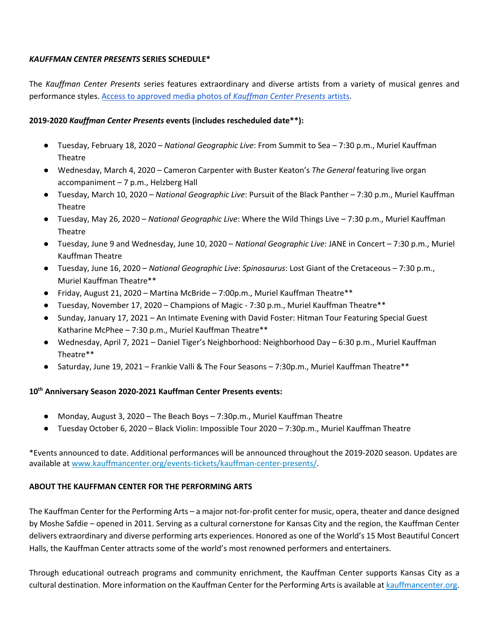## *KAUFFMAN CENTER PRESENTS* **SERIES SCHEDULE\***

The *Kauffman Center Presents* series features extraordinary and diverse artists from a variety of musical genres and performance styles. Access to approved media photos of *Kauffman Center Presents* artists.

# **2019-2020** *Kauffman Center Presents* **events (includes rescheduled date\*\*):**

- Tuesday, February 18, 2020 *National Geographic Live*: From Summit to Sea 7:30 p.m., Muriel Kauffman Theatre
- Wednesday, March 4, 2020 Cameron Carpenter with Buster Keaton's *The General* featuring live organ accompaniment – 7 p.m., Helzberg Hall
- Tuesday, March 10, 2020 *National Geographic Live*: Pursuit of the Black Panther 7:30 p.m., Muriel Kauffman Theatre
- Tuesday, May 26, 2020 *National Geographic Live*: Where the Wild Things Live 7:30 p.m., Muriel Kauffman Theatre
- Tuesday, June 9 and Wednesday, June 10, 2020 *National Geographic Live*: JANE in Concert 7:30 p.m., Muriel Kauffman Theatre
- Tuesday, June 16, 2020 *National Geographic Live*: *Spinosaurus*: Lost Giant of the Cretaceous 7:30 p.m., Muriel Kauffman Theatre\*\*
- Friday, August 21, 2020 Martina McBride 7:00p.m., Muriel Kauffman Theatre\*\*
- Tuesday, November 17, 2020 Champions of Magic 7:30 p.m., Muriel Kauffman Theatre\*\*
- Sunday, January 17, 2021 An Intimate Evening with David Foster: Hitman Tour Featuring Special Guest Katharine McPhee – 7:30 p.m., Muriel Kauffman Theatre\*\*
- Wednesday, April 7, 2021 Daniel Tiger's Neighborhood: Neighborhood Day 6:30 p.m., Muriel Kauffman Theatre\*\*
- Saturday, June 19, 2021 Frankie Valli & The Four Seasons 7:30p.m., Muriel Kauffman Theatre\*\*

# **10th Anniversary Season 2020-2021 Kauffman Center Presents events:**

- Monday, August 3, 2020 The Beach Boys 7:30p.m., Muriel Kauffman Theatre
- Tuesday October 6, 2020 Black Violin: Impossible Tour 2020 7:30p.m., Muriel Kauffman Theatre

\*Events announced to date. Additional performances will be announced throughout the 2019-2020 season. Updates are available at www.kauffmancenter.org/events-tickets/kauffman-center-presents/.

### **ABOUT THE KAUFFMAN CENTER FOR THE PERFORMING ARTS**

The Kauffman Center for the Performing Arts – a major not-for-profit center for music, opera, theater and dance designed by Moshe Safdie – opened in 2011. Serving as a cultural cornerstone for Kansas City and the region, the Kauffman Center delivers extraordinary and diverse performing arts experiences. Honored as one of the World's 15 Most Beautiful Concert Halls, the Kauffman Center attracts some of the world's most renowned performers and entertainers.

Through educational outreach programs and community enrichment, the Kauffman Center supports Kansas City as a cultural destination. More information on the Kauffman Center for the Performing Arts is available at kauffmancenter.org.